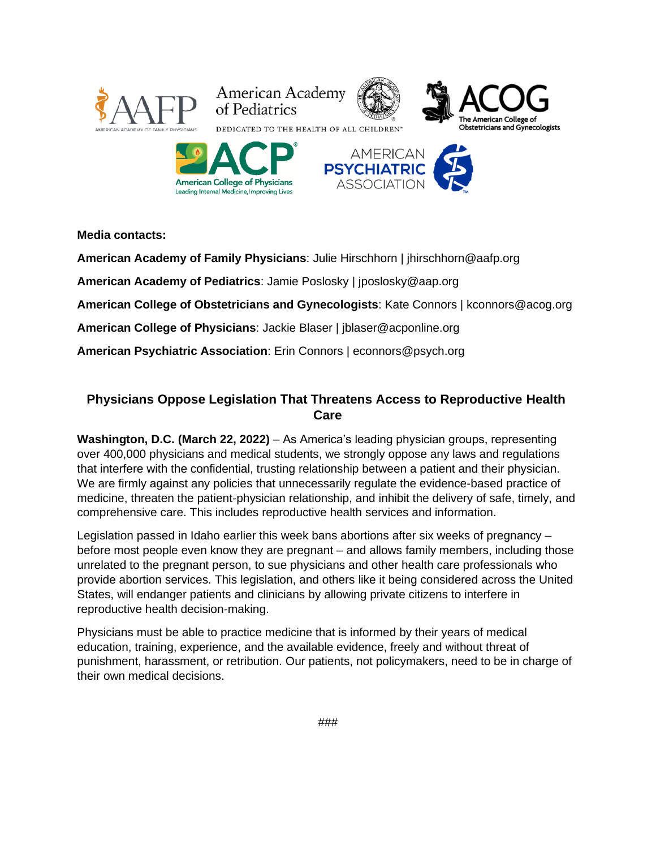

**Media contacts:** 

**American Academy of Family Physicians**: Julie Hirschhorn | jhirschhorn@aafp.org

**American Academy of Pediatrics**: Jamie Poslosky | jposlosky@aap.org

**American College of Obstetricians and Gynecologists**: Kate Connors | kconnors@acog.org

**American College of Physicians**: Jackie Blaser | jblaser@acponline.org

**American Psychiatric Association**: Erin Connors | econnors@psych.org

# **Physicians Oppose Legislation That Threatens Access to Reproductive Health Care**

**Washington, D.C. (March 22, 2022)** – As America's leading physician groups, representing over 400,000 physicians and medical students, we strongly oppose any laws and regulations that interfere with the confidential, trusting relationship between a patient and their physician. We are firmly against any policies that unnecessarily regulate the evidence-based practice of medicine, threaten the patient-physician relationship, and inhibit the delivery of safe, timely, and comprehensive care. This includes reproductive health services and information.

Legislation passed in Idaho earlier this week bans abortions after six weeks of pregnancy – before most people even know they are pregnant – and allows family members, including those unrelated to the pregnant person, to sue physicians and other health care professionals who provide abortion services. This legislation, and others like it being considered across the United States, will endanger patients and clinicians by allowing private citizens to interfere in reproductive health decision-making.

Physicians must be able to practice medicine that is informed by their years of medical education, training, experience, and the available evidence, freely and without threat of punishment, harassment, or retribution. Our patients, not policymakers, need to be in charge of their own medical decisions.